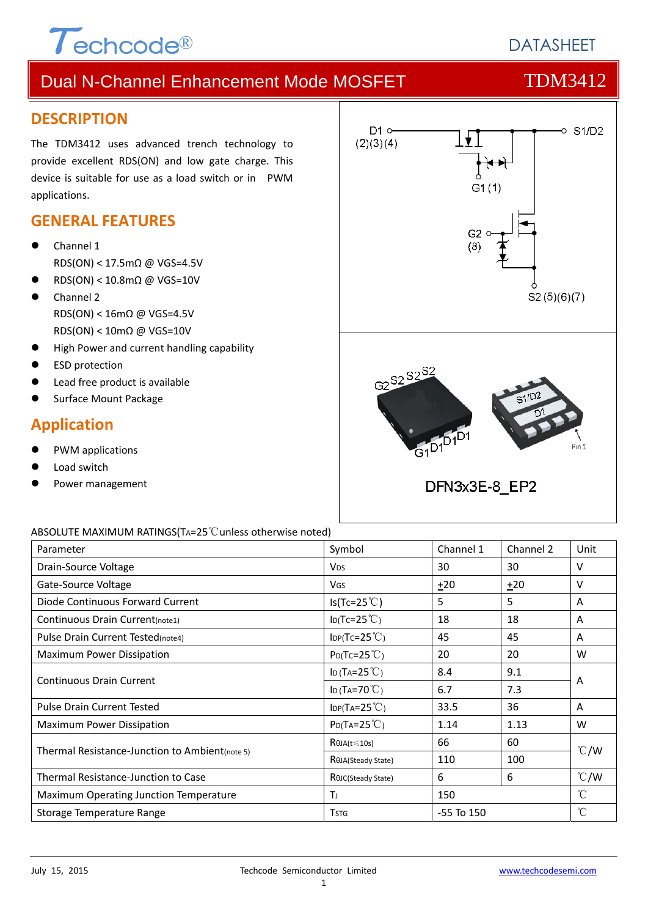

## **DATASHEET**

## Dual N-Channel Enhancement Mode MOSFET TOM3412

### **DESCRIPTION**

The TDM3412 uses advanced trench technology to provide excellent RDS(ON) and low gate charge. This device is suitable for use as a load switch or in PWM applications.

### **GENERAL FEATURES**

- Channel 1 RDS(ON) < 17.5mΩ @ VGS=4.5V
- RDS(ON) < 10.8mΩ @ VGS=10V
- Channel 2 RDS(ON) < 16mΩ @ VGS=4.5V RDS(ON) < 10mΩ @ VGS=10V
- High Power and current handling capability
- ESD protection
- Lead free product is available
- Surface Mount Package

## **Application**

- PWM applications
- Load switch
- Power management



### ABSOLUTE MAXIMUM RATINGS(TA=25℃unless otherwise noted)

| Parameter                                      | Symbol                              | Channel 1      | Channel 2 | Unit          |  |
|------------------------------------------------|-------------------------------------|----------------|-----------|---------------|--|
| Drain-Source Voltage                           | <b>V<sub>DS</sub></b>               | 30             | 30        | V             |  |
| Gate-Source Voltage                            | <b>V<sub>GS</sub></b>               | $+20$          | $+20$     | $\vee$        |  |
| Diode Continuous Forward Current               | $Is(Tc=25^{\circ}C)$                | 5              | 5         | A             |  |
| Continuous Drain Current(note1)                | $I_D(Tc=25^{\circ}C)$               | 18             | 18        | A             |  |
| Pulse Drain Current Tested(note4)              | $\text{IDP(Tc=25}^{\circ}\text{C})$ | 45             | 45        | A             |  |
| Maximum Power Dissipation                      | $P_{D}$ (Tc=25 <sup>°</sup> C)      | 20             | 20        | W             |  |
| <b>Continuous Drain Current</b>                | ID (TA= $25^{\circ}$ C)             | 8.4            | 9.1       | A             |  |
|                                                | ID (TA=70 $°C$ )                    | 6.7            | 7.3       |               |  |
| <b>Pulse Drain Current Tested</b>              | $IDP(TA=25^{\circ}C)$               | 33.5           | 36        | A             |  |
| Maximum Power Dissipation                      | $P_{D}(Ta=25^{\circ}C)$             | 1.14           | 1.13      | W             |  |
|                                                | $R\theta$ JA(t $\leq$ 10s)          | 66             | 60        | $\degree$ C/W |  |
| Thermal Resistance-Junction to Ambient(note 5) | R <sub>OJ</sub> A(Steady State)     | 110            | 100       |               |  |
| Thermal Resistance-Junction to Case            | ROJC(Steady State)                  | 6              | 6         | $\degree$ C/W |  |
| Maximum Operating Junction Temperature         | Tı                                  | 150            |           | $^{\circ}$ C  |  |
| Storage Temperature Range                      | <b>T</b> stg                        | $-55$ To $150$ |           | °C            |  |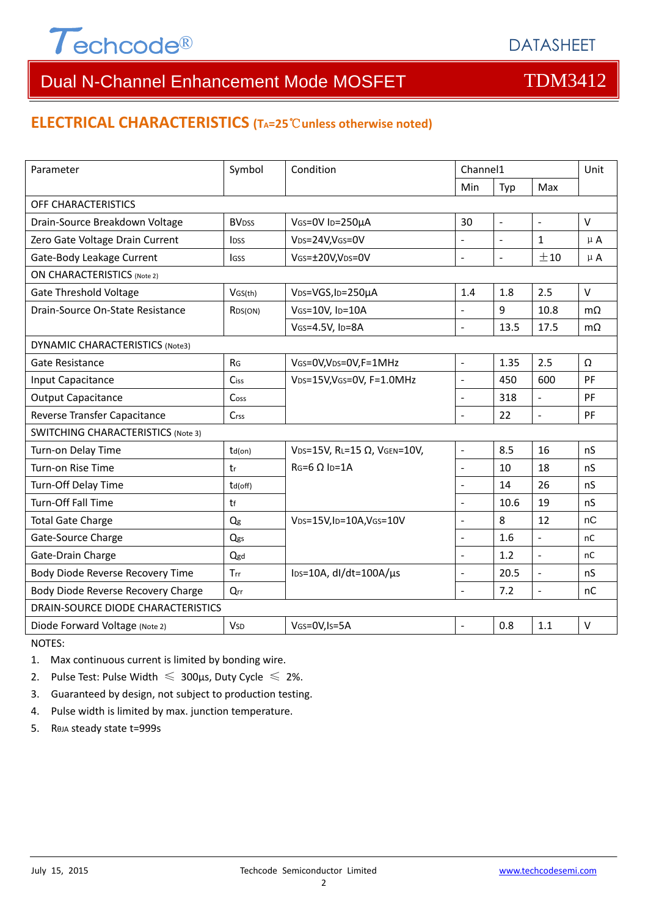

### **ELECTRICAL CHARACTERISTICS (TA=25**℃**unless otherwise noted)**

| Parameter                                 | Symbol                   | Condition                                     | Channel1                 |                          | Unit                     |           |  |
|-------------------------------------------|--------------------------|-----------------------------------------------|--------------------------|--------------------------|--------------------------|-----------|--|
|                                           |                          |                                               | Min                      | Typ                      | Max                      |           |  |
| OFF CHARACTERISTICS                       |                          |                                               |                          |                          |                          |           |  |
| Drain-Source Breakdown Voltage            | <b>BV</b> <sub>DSS</sub> | VGS=0V ID=250µA                               | 30                       | $\blacksquare$           | $\overline{\phantom{a}}$ | $\vee$    |  |
| Zero Gate Voltage Drain Current           | <b>IDSS</b>              | VDS=24V,VGS=0V                                | L.                       |                          | $\mathbf{1}$             | $\mu$ A   |  |
| Gate-Body Leakage Current                 | <b>IGSS</b>              | VGS=±20V,VDS=0V                               | $\overline{a}$           | $\overline{\phantom{a}}$ | ±10                      | $\mu$ A   |  |
| <b>ON CHARACTERISTICS (Note 2)</b>        |                          |                                               |                          |                          |                          |           |  |
| <b>Gate Threshold Voltage</b>             | VGS(th)                  | VDS=VGS, ID=250µA                             | 1.4                      | 1.8                      | 2.5                      | $\vee$    |  |
| Drain-Source On-State Resistance          | RDS(ON)                  | VGS=10V, ID=10A                               |                          | 9                        | 10.8                     | $m\Omega$ |  |
|                                           |                          | VGS=4.5V, ID=8A                               | $\bar{\phantom{a}}$      | 13.5                     | 17.5                     | $m\Omega$ |  |
| DYNAMIC CHARACTERISTICS (Note3)           |                          |                                               |                          |                          |                          |           |  |
| Gate Resistance                           | R <sub>G</sub>           | VGS=0V, VDS=0V, F=1MHz                        | $\overline{\phantom{a}}$ | 1.35                     | 2.5                      | Ω         |  |
| Input Capacitance                         | Ciss                     | VDS=15V, VGS=0V, F=1.0MHz                     | $\overline{\phantom{a}}$ | 450                      | 600                      | PF        |  |
| <b>Output Capacitance</b>                 | Coss                     |                                               | $\blacksquare$           | 318                      | $\bar{\mathcal{L}}$      | PF        |  |
| Reverse Transfer Capacitance              | Crss                     |                                               | $\sim$                   | 22                       | $\blacksquare$           | PF        |  |
| <b>SWITCHING CHARACTERISTICS (Note 3)</b> |                          |                                               |                          |                          |                          |           |  |
| Turn-on Delay Time                        | $td($ on $)$             | VDS=15V, RL=15 Ω, VGEN=10V,                   | $\blacksquare$           | 8.5                      | 16                       | nS        |  |
| Turn-on Rise Time                         | tr                       | $RG=6 \Omega$ Ip=1A                           | $\blacksquare$           | 10                       | 18                       | nS        |  |
| Turn-Off Delay Time                       | td(off)                  |                                               | $\overline{a}$           | 14                       | 26                       | nS        |  |
| Turn-Off Fall Time                        | tf                       |                                               | $\overline{a}$           | 10.6                     | 19                       | nS        |  |
| <b>Total Gate Charge</b>                  | $Q_g$                    | VDS=15V,ID=10A,VGS=10V                        | $\overline{\phantom{a}}$ | 8                        | 12                       | nC        |  |
| Gate-Source Charge                        | Qgs                      |                                               | $\blacksquare$           | 1.6                      | $\frac{1}{2}$            | nC        |  |
| Gate-Drain Charge                         | Qgd                      |                                               | $\sim$                   | 1.2                      | $\overline{a}$           | nC        |  |
| Body Diode Reverse Recovery Time          | Trr                      | $\text{los}=10\text{A}$ , dl/dt=100A/ $\mu$ s | $\overline{a}$           | 20.5                     | $\overline{a}$           | nS        |  |
| Body Diode Reverse Recovery Charge        | Qrr                      |                                               | $\overline{a}$           | 7.2                      | $\overline{a}$           | nC        |  |
| DRAIN-SOURCE DIODE CHARACTERISTICS        |                          |                                               |                          |                          |                          |           |  |
| Diode Forward Voltage (Note 2)            | <b>V</b> sp              | VGS=0V, Is=5A                                 | L,                       | 0.8                      | 1.1                      | $\vee$    |  |

NOTES:

1. Max continuous current is limited by bonding wire.

2. Pulse Test: Pulse Width  $\leq 300$ μs, Duty Cycle  $\leq 2\%$ .

3. Guaranteed by design, not subject to production testing.

4. Pulse width is limited by max. junction temperature.

5. RθJA steady state t=999s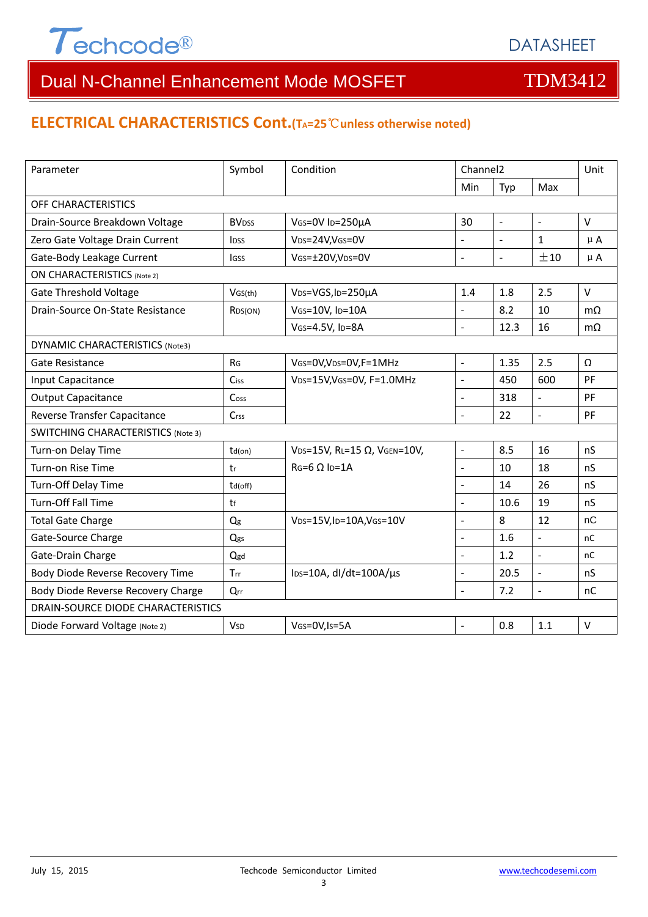

### **ELECTRICAL CHARACTERISTICS Cont.(TA=25**℃**unless otherwise noted)**

| Parameter                                 | Symbol<br>Condition     |                                               | Channel <sub>2</sub>     |                |                          | Unit          |  |
|-------------------------------------------|-------------------------|-----------------------------------------------|--------------------------|----------------|--------------------------|---------------|--|
|                                           |                         |                                               | Min                      | Typ            | Max                      |               |  |
| OFF CHARACTERISTICS                       |                         |                                               |                          |                |                          |               |  |
| Drain-Source Breakdown Voltage            | <b>BV<sub>DSS</sub></b> | VGS=0V ID=250µA                               | 30                       | $\blacksquare$ | $\overline{a}$           | $\vee$        |  |
| Zero Gate Voltage Drain Current           | <b>IDSS</b>             | V <sub>DS</sub> =24V,V <sub>GS</sub> =0V      | L.                       | $\overline{a}$ | $\mathbf{1}$             | $\mu$ A       |  |
| Gate-Body Leakage Current                 | <b>IGSS</b>             | VGS=±20V,VDS=0V                               | $\overline{a}$           | $\mathbb{L}$   | ±10                      | $\mu$ A       |  |
| <b>ON CHARACTERISTICS (Note 2)</b>        |                         |                                               |                          |                |                          |               |  |
| <b>Gate Threshold Voltage</b>             | VGS(th)                 | VDS=VGS, ID=250µA                             | 1.4                      | 1.8            | 2.5                      | $\vee$        |  |
| Drain-Source On-State Resistance          | R <sub>DS</sub> (ON)    | VGS=10V, ID=10A                               |                          | 8.2            | 10                       | $m\Omega$     |  |
|                                           |                         | VGS=4.5V, ID=8A                               | $\overline{a}$           | 12.3           | 16                       | $m\Omega$     |  |
| DYNAMIC CHARACTERISTICS (Note3)           |                         |                                               |                          |                |                          |               |  |
| Gate Resistance                           | R <sub>G</sub>          | VGS=0V, VDS=0V, F=1MHz                        | $\overline{a}$           | 1.35           | 2.5                      | Ω             |  |
| Input Capacitance                         | Ciss                    | VDS=15V, VGS=0V, F=1.0MHz                     | $\overline{a}$           | 450            | 600                      | PF            |  |
| <b>Output Capacitance</b>                 | Coss                    |                                               | $\overline{a}$           | 318            | $\Box$                   | PF            |  |
| Reverse Transfer Capacitance              | Crss                    |                                               | L.                       | 22             | $\overline{a}$           | PF            |  |
| <b>SWITCHING CHARACTERISTICS (Note 3)</b> |                         |                                               |                          |                |                          |               |  |
| Turn-on Delay Time                        | $td($ on $)$            | VDS=15V, RL=15 Ω, VGEN=10V,                   | $\overline{\phantom{a}}$ | 8.5            | 16                       | nS            |  |
| Turn-on Rise Time                         | tr                      | $RG=6 \Omega$ Ip=1A                           | $\overline{\phantom{a}}$ | 10             | 18                       | nS            |  |
| Turn-Off Delay Time                       | td(off)                 |                                               | $\overline{a}$           | 14             | 26                       | nS            |  |
| Turn-Off Fall Time                        | tf                      |                                               |                          | 10.6           | 19                       | nS            |  |
| <b>Total Gate Charge</b>                  | Qg                      | VDS=15V,ID=10A,VGS=10V                        | $\overline{a}$           | 8              | 12                       | nC            |  |
| Gate-Source Charge                        | Qgs                     |                                               |                          | 1.6            | $\overline{\phantom{a}}$ | nC            |  |
| Gate-Drain Charge                         | Qgd                     |                                               | $\overline{a}$           | 1.2            | $\overline{a}$           | <sub>nC</sub> |  |
| Body Diode Reverse Recovery Time          | Trr                     | $\text{los}=10\text{A}$ , dl/dt=100A/ $\mu$ s | $\overline{a}$           | 20.5           | $\overline{a}$           | nS            |  |
| Body Diode Reverse Recovery Charge        | Qrr                     |                                               | $\overline{a}$           | 7.2            | $\Box$                   | nC            |  |
| DRAIN-SOURCE DIODE CHARACTERISTICS        |                         |                                               |                          |                |                          |               |  |
| Diode Forward Voltage (Note 2)            | <b>V<sub>SD</sub></b>   | VGS=0V, Is=5A                                 |                          | 0.8            | 1.1                      | $\vee$        |  |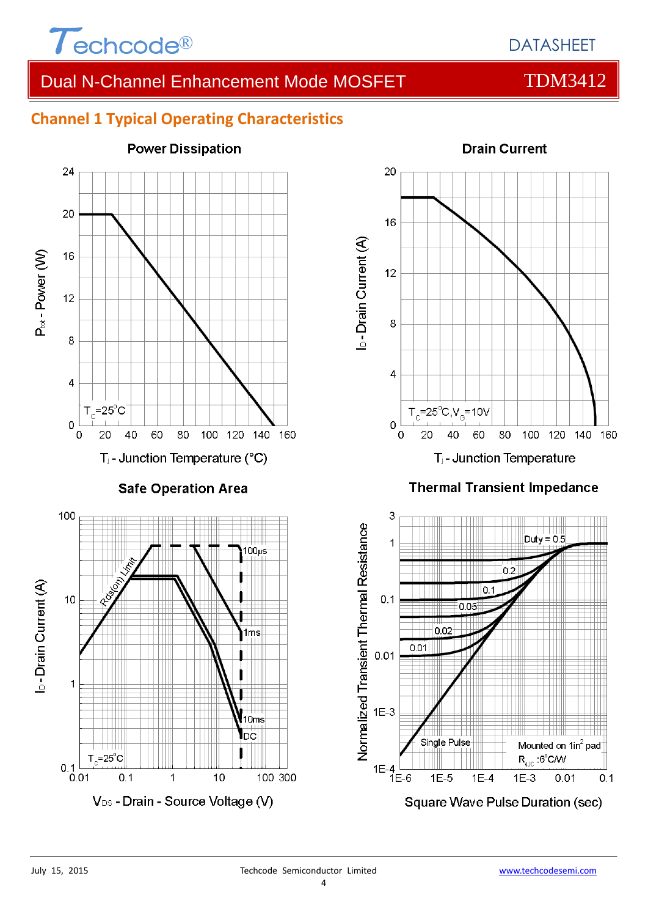

## **Channel 1 Typical Operating Characteristics**





### **Thermal Transient Impedance**

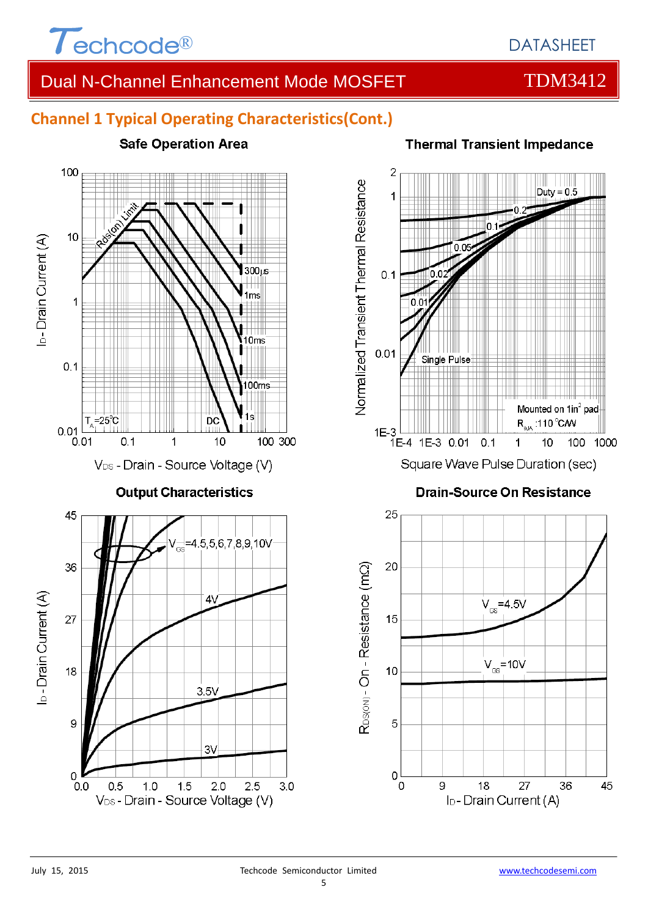

100

## Dual N-Channel Enhancement Mode MOSFET TDM3412

## **Channel 1 Typical Operating Characteristics(Cont.)**

**Safe Operation Area** 





45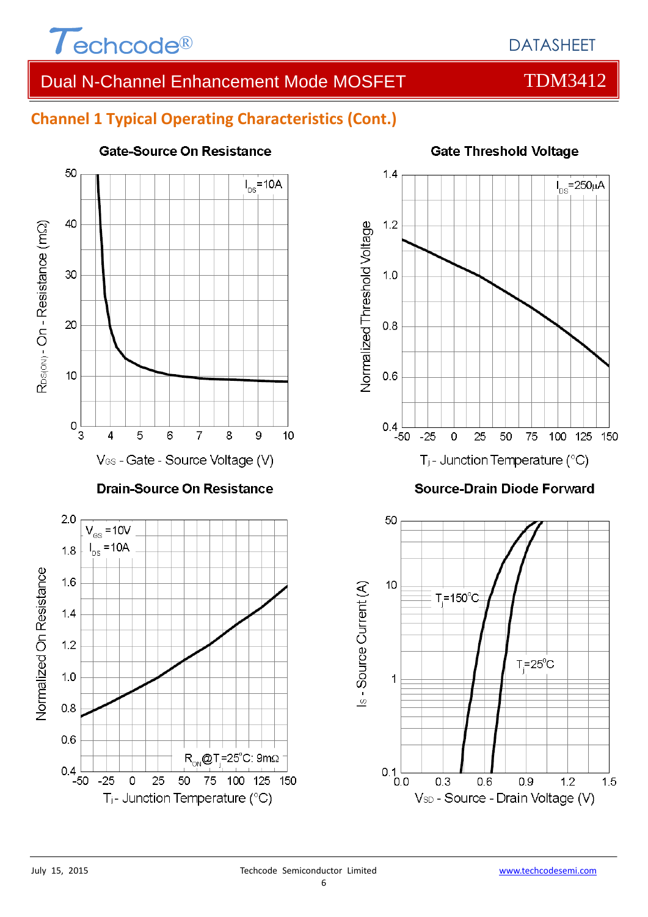

 $I_{\text{ns}}$ =250µA

## **Channel 1 Typical Operating Characteristics (Cont.)**



**Gate Threshold Voltage** 

50

75

 $T = 25^{\circ}$ C

 $0.9$ 

100 125 150

 $1.2$ 

 $1.5$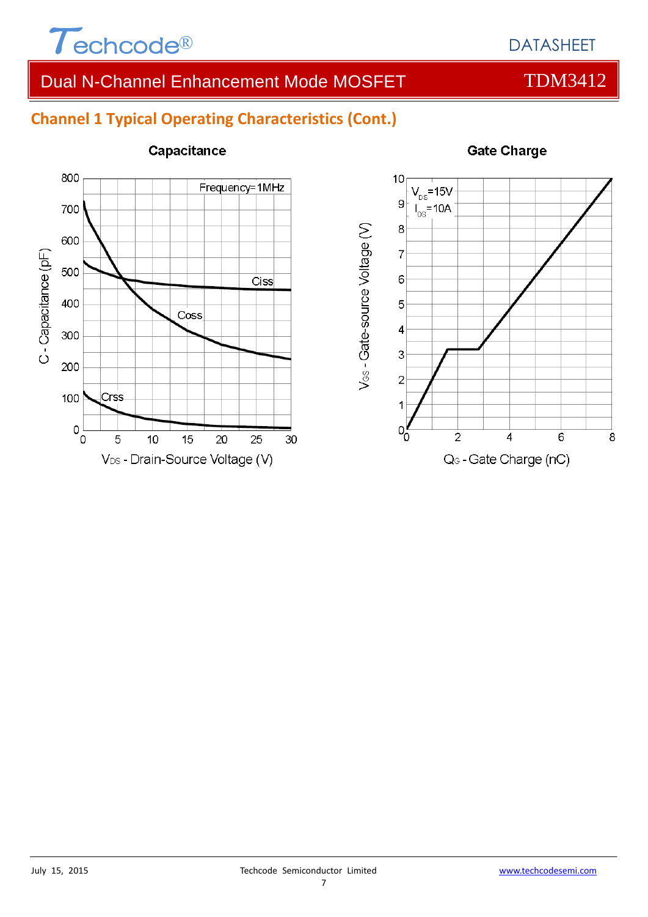

## **Channel 1 Typical Operating Characteristics (Cont.)**



### Capacitance



### **Gate Charge**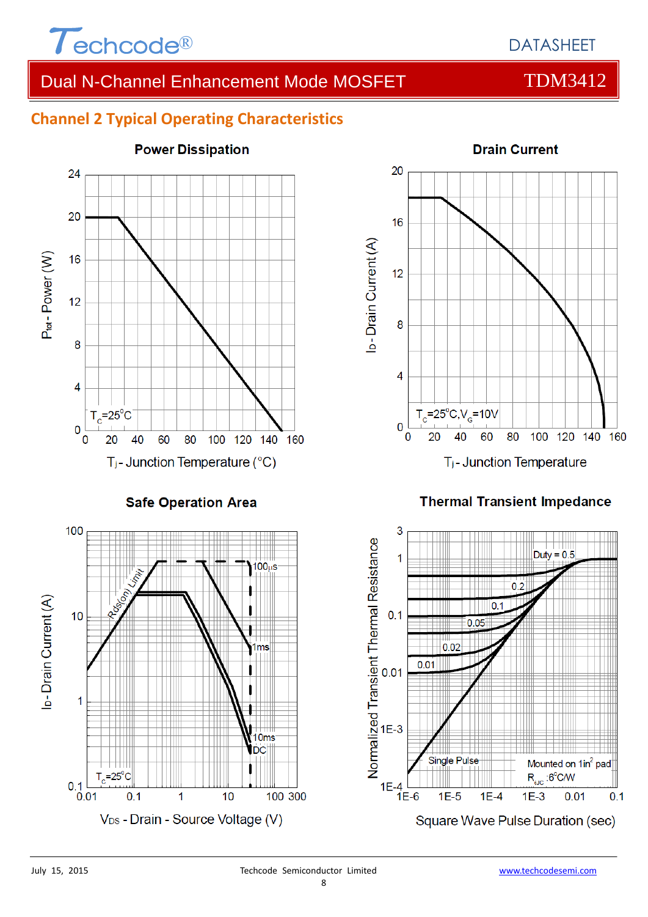

## DATASHEET

## Dual N-Channel Enhancement Mode MOSFET TDM3412

## **Channel 2 Typical Operating Characteristics**



**Safe Operation Area** 





### **Thermal Transient Impedance**

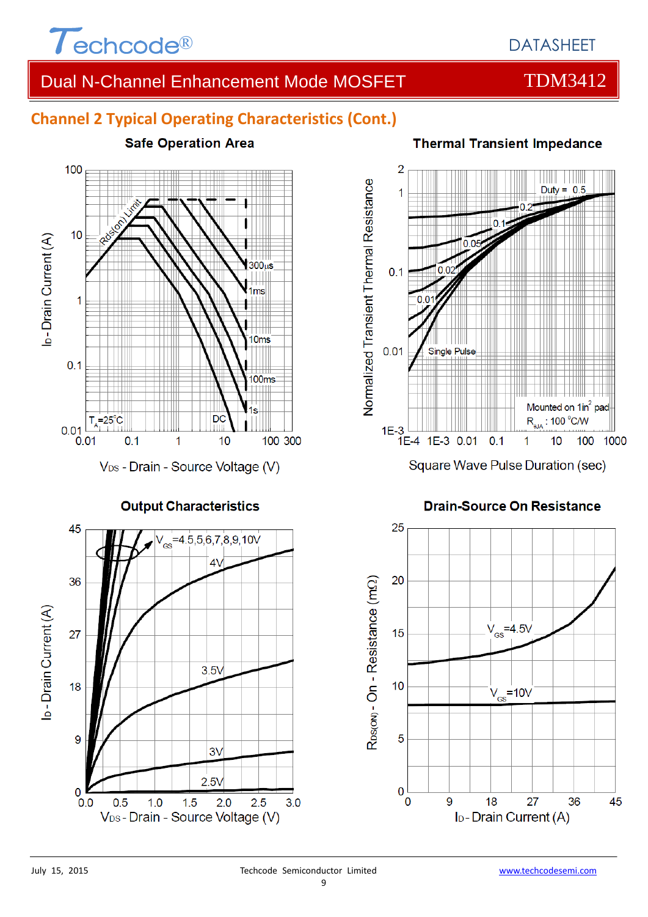

## **Channel 2 Typical Operating Characteristics (Cont.)**



**Output Characteristics** 



### **Thermal Transient Impedance**



### **Drain-Source On Resistance**

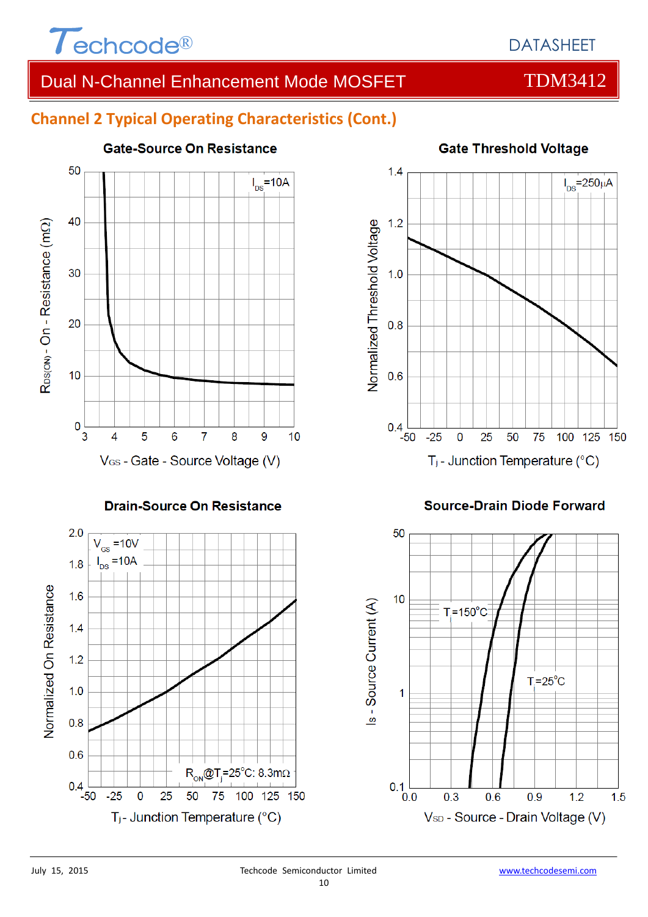

## **Channel 2 Typical Operating Characteristics (Cont.)**



### **Drain-Source On Resistance**





### **Source-Drain Diode Forward**

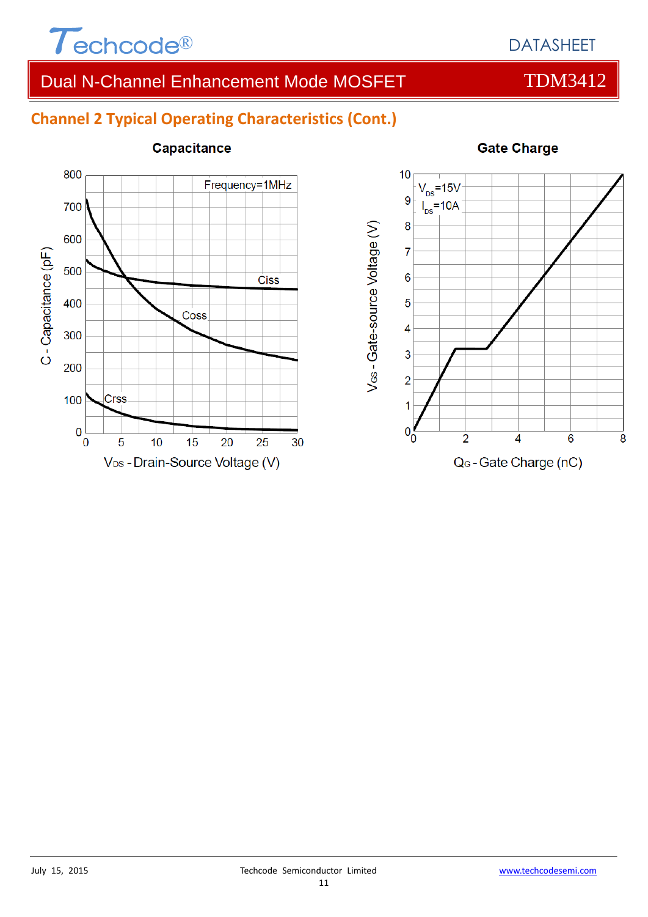

## **Channel 2 Typical Operating Characteristics (Cont.)**



### **Capacitance**

### **Gate Charge**



### 11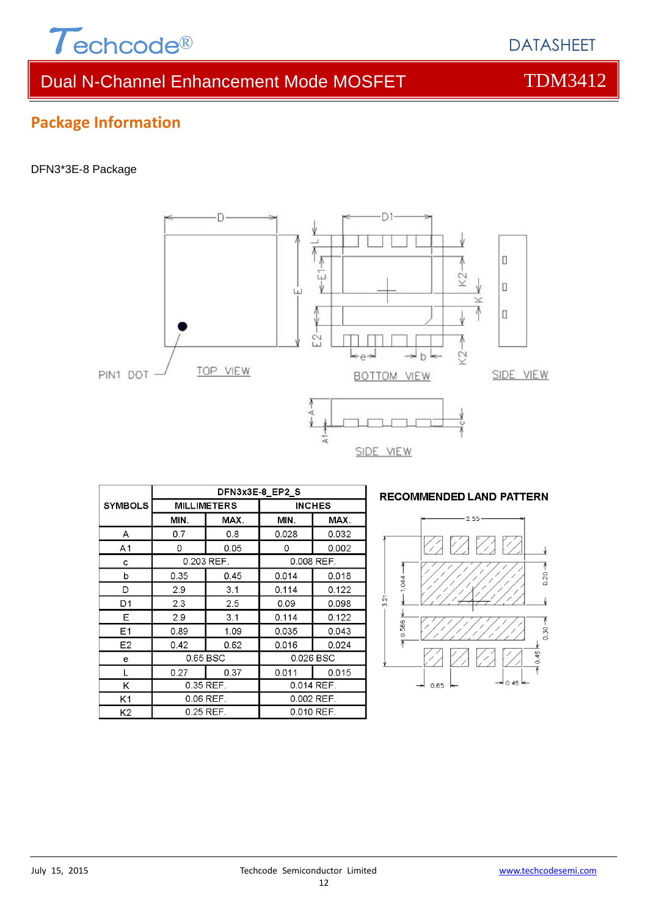

DATASHEET

## Dual N-Channel Enhancement Mode MOSFET TDM3412

## **Package Information**

### DFN3\*3E-8 Package



|                | DFN3x3E-8 EP2 S    |            |            |               |  |  |
|----------------|--------------------|------------|------------|---------------|--|--|
| <b>SYMBOLS</b> | <b>MILLIMETERS</b> |            |            | <b>INCHES</b> |  |  |
|                | MIN.               | MAX.       | MIN.       | MAX.          |  |  |
| A              | 0.7                | 0.8        | 0.028      | 0.032         |  |  |
| A <sub>1</sub> | 0                  | 0.05       | 0          | 0.002         |  |  |
| с              |                    | 0.203 REF. | 0.008 REF. |               |  |  |
| b              | 0.35               | 0.45       | 0.014      | 0.018         |  |  |
| D              | 2.9                | 3.1        | 0.114      | 0.122         |  |  |
| D1             | 2.3                | 2.5        | 0.09       | 0.098         |  |  |
| Е              | 2.9                | 3.1        | 0.114      | 0.122         |  |  |
| Ε1             | 0.89               | 1.09       | 0.035      | 0.043         |  |  |
| E2             | 0.42               | 0.62       | 0.016      | 0.024         |  |  |
| е              | 0.65 BSC           |            | 0.026 BSC  |               |  |  |
| L              | 0.27               | 0.37       | 0.011      | 0.015         |  |  |
| Κ              | 0.35 REF.          |            | 0.014 REF. |               |  |  |
| K1             | 0.06 REF.          |            | 0.002 REF. |               |  |  |
| K <sub>2</sub> | $0.25$ REF.        |            | 0.010 REF. |               |  |  |

### **RECOMMENDED LAND PATTERN**